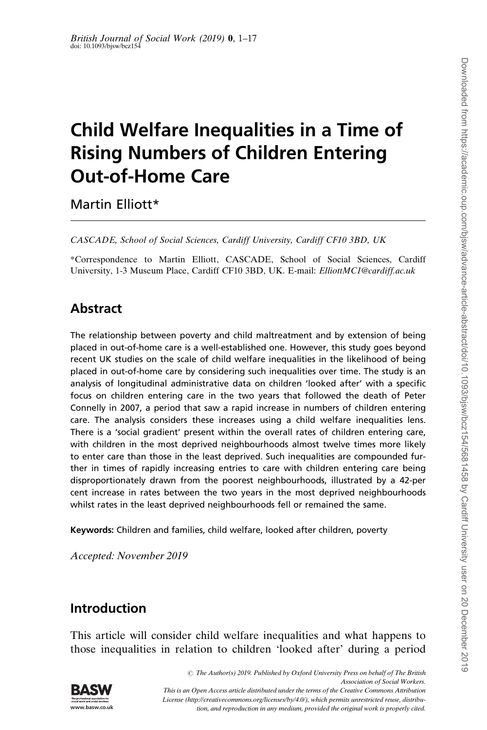# Child Welfare Inequalities in a Time of Rising Numbers of Children Entering Out-of-Home Care

Martin Elliott\*

CASCADE, School of Social Sciences, Cardiff University, Cardiff CF10 3BD, UK

\*Correspondence to Martin Elliott, CASCADE, School of Social Sciences, Cardiff University, 1-3 Museum Place, Cardiff CF10 3BD, UK. E-mail: ElliottMC1@cardiff.ac.uk

# Abstract

The relationship between poverty and child maltreatment and by extension of being placed in out-of-home care is a well-established one. However, this study goes beyond recent UK studies on the scale of child welfare inequalities in the likelihood of being placed in out-of-home care by considering such inequalities over time. The study is an analysis of longitudinal administrative data on children 'looked after' with a specific focus on children entering care in the two years that followed the death of Peter Connelly in 2007, a period that saw a rapid increase in numbers of children entering care. The analysis considers these increases using a child welfare inequalities lens. There is a 'social gradient' present within the overall rates of children entering care, with children in the most deprived neighbourhoods almost twelve times more likely to enter care than those in the least deprived. Such inequalities are compounded further in times of rapidly increasing entries to care with children entering care being disproportionately drawn from the poorest neighbourhoods, illustrated by a 42-per cent increase in rates between the two years in the most deprived neighbourhoods whilst rates in the least deprived neighbourhoods fell or remained the same.

Keywords: Children and families, child welfare, looked after children, poverty

Accepted: November 2019

## Introduction

This article will consider child welfare inequalities and what happens to those inequalities in relation to children 'looked after' during a period



This is an Open Access article distributed under the terms of the Creative Commons Attribution License (http://creativecommons.org/licenses/by/4.0/), which permits unrestricted reuse, distribution, and reproduction in any medium, provided the original work is properly cited.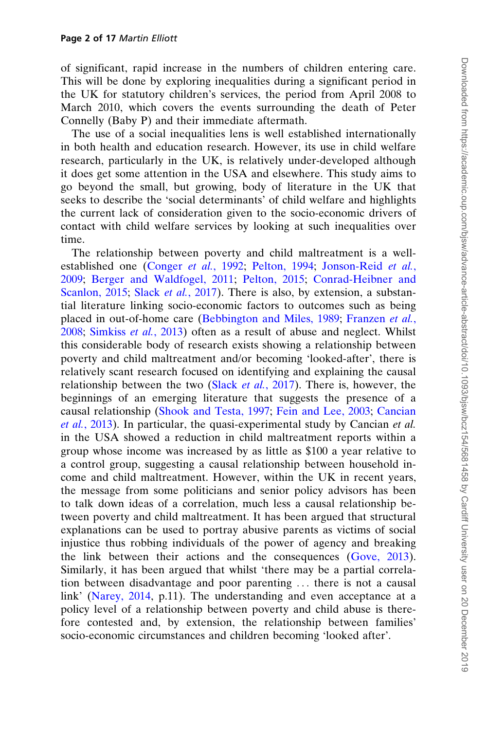of significant, rapid increase in the numbers of children entering care. This will be done by exploring inequalities during a significant period in the UK for statutory children's services, the period from April 2008 to March 2010, which covers the events surrounding the death of Peter Connelly (Baby P) and their immediate aftermath.

The use of a social inequalities lens is well established internationally in both health and education research. However, its use in child welfare research, particularly in the UK, is relatively under-developed although it does get some attention in the USA and elsewhere. This study aims to go beyond the small, but growing, body of literature in the UK that seeks to describe the 'social determinants' of child welfare and highlights the current lack of consideration given to the socio-economic drivers of contact with child welfare services by looking at such inequalities over time.

The relationship between poverty and child maltreatment is a wellestablished one ([Conger](#page-14-0) et al., 1992; [Pelton, 1994](#page-16-0); [Jonson-Reid](#page-15-0) et al., [2009](#page-15-0); [Berger and Waldfogel, 2011;](#page-13-0) [Pelton, 2015;](#page-16-0) [Conrad-Heibner and](#page-14-0) [Scanlon, 2015;](#page-14-0) Slack et al.[, 2017](#page-16-0)). There is also, by extension, a substantial literature linking socio-economic factors to outcomes such as being placed in out-of-home care ([Bebbington and Miles, 1989;](#page-13-0) [Franzen](#page-15-0) et al., [2008](#page-15-0); [Simkiss](#page-16-0) et al., 2013) often as a result of abuse and neglect. Whilst this considerable body of research exists showing a relationship between poverty and child maltreatment and/or becoming 'looked-after', there is relatively scant research focused on identifying and explaining the causal relationship between the two (Slack *et al.*[, 2017\)](#page-16-0). There is, however, the beginnings of an emerging literature that suggests the presence of a causal relationship [\(Shook and Testa, 1997](#page-16-0); [Fein and Lee, 2003;](#page-15-0) [Cancian](#page-14-0) et al.[, 2013](#page-14-0)). In particular, the quasi-experimental study by Cancian et al. in the USA showed a reduction in child maltreatment reports within a group whose income was increased by as little as \$100 a year relative to a control group, suggesting a causal relationship between household income and child maltreatment. However, within the UK in recent years, the message from some politicians and senior policy advisors has been to talk down ideas of a correlation, much less a causal relationship between poverty and child maltreatment. It has been argued that structural explanations can be used to portray abusive parents as victims of social injustice thus robbing individuals of the power of agency and breaking the link between their actions and the consequences ([Gove, 2013\)](#page-15-0). Similarly, it has been argued that whilst 'there may be a partial correlation between disadvantage and poor parenting ... there is not a causal link' [\(Narey, 2014](#page-15-0), p.11). The understanding and even acceptance at a policy level of a relationship between poverty and child abuse is therefore contested and, by extension, the relationship between families' socio-economic circumstances and children becoming 'looked after'.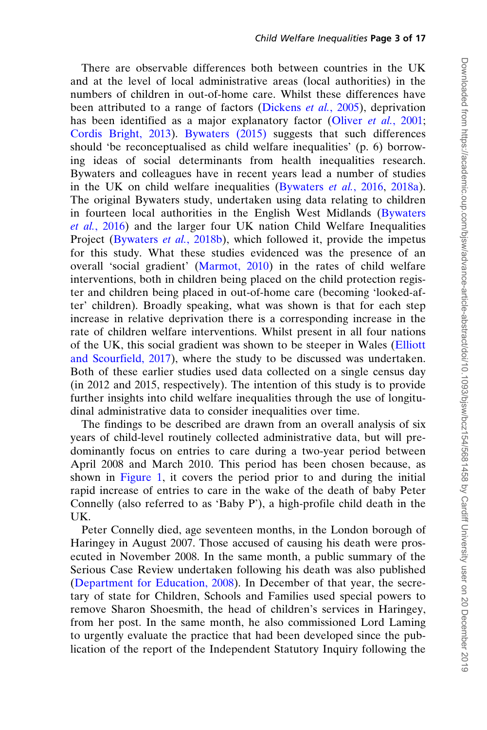There are observable differences both between countries in the UK and at the level of local administrative areas (local authorities) in the numbers of children in out-of-home care. Whilst these differences have been attributed to a range of factors [\(Dickens](#page-14-0) *et al.*, 2005), deprivation has been identified as a major explanatory factor ([Oliver](#page-15-0) et al., 2001; [Cordis Bright, 2013](#page-14-0)). [Bywaters \(2015\)](#page-14-0) suggests that such differences should 'be reconceptualised as child welfare inequalities' (p. 6) borrowing ideas of social determinants from health inequalities research. Bywaters and colleagues have in recent years lead a number of studies in the UK on child welfare inequalities ([Bywaters](#page-14-0) et al., 2016, [2018a\)](#page-14-0). The original Bywaters study, undertaken using data relating to children in fourteen local authorities in the English West Midlands ([Bywaters](#page-14-0) et al.[, 2016](#page-14-0)) and the larger four UK nation Child Welfare Inequalities Project [\(Bywaters](#page-14-0) *et al.*, 2018b), which followed it, provide the impetus for this study. What these studies evidenced was the presence of an overall 'social gradient' ([Marmot, 2010](#page-15-0)) in the rates of child welfare interventions, both in children being placed on the child protection register and children being placed in out-of-home care (becoming 'looked-after' children). Broadly speaking, what was shown is that for each step increase in relative deprivation there is a corresponding increase in the rate of children welfare interventions. Whilst present in all four nations of the UK, this social gradient was shown to be steeper in Wales [\(Elliott](#page-14-0) [and Scourfield, 2017](#page-14-0)), where the study to be discussed was undertaken. Both of these earlier studies used data collected on a single census day (in 2012 and 2015, respectively). The intention of this study is to provide further insights into child welfare inequalities through the use of longitudinal administrative data to consider inequalities over time.

The findings to be described are drawn from an overall analysis of six years of child-level routinely collected administrative data, but will predominantly focus on entries to care during a two-year period between April 2008 and March 2010. This period has been chosen because, as shown in [Figure 1,](#page-3-0) it covers the period prior to and during the initial rapid increase of entries to care in the wake of the death of baby Peter Connelly (also referred to as 'Baby P'), a high-profile child death in the UK.

Peter Connelly died, age seventeen months, in the London borough of Haringey in August 2007. Those accused of causing his death were prosecuted in November 2008. In the same month, a public summary of the Serious Case Review undertaken following his death was also published ([Department for Education, 2008\)](#page-14-0). In December of that year, the secretary of state for Children, Schools and Families used special powers to remove Sharon Shoesmith, the head of children's services in Haringey, from her post. In the same month, he also commissioned Lord Laming to urgently evaluate the practice that had been developed since the publication of the report of the Independent Statutory Inquiry following the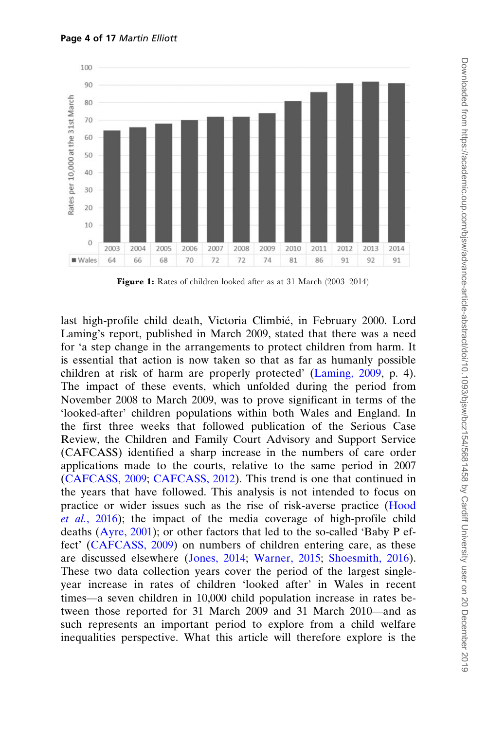<span id="page-3-0"></span>

Figure 1: Rates of children looked after as at 31 March (2003–2014)

last high-profile child death, Victoria Climbié, in February 2000. Lord Laming's report, published in March 2009, stated that there was a need for 'a step change in the arrangements to protect children from harm. It is essential that action is now taken so that as far as humanly possible children at risk of harm are properly protected' ([Laming, 2009](#page-15-0), p. 4). The impact of these events, which unfolded during the period from November 2008 to March 2009, was to prove significant in terms of the 'looked-after' children populations within both Wales and England. In the first three weeks that followed publication of the Serious Case Review, the Children and Family Court Advisory and Support Service (CAFCASS) identified a sharp increase in the numbers of care order applications made to the courts, relative to the same period in 2007 [\(CAFCASS, 2009](#page-14-0); [CAFCASS, 2012\)](#page-14-0). This trend is one that continued in the years that have followed. This analysis is not intended to focus on practice or wider issues such as the rise of risk-averse practice [\(Hood](#page-15-0) et al.[, 2016\)](#page-15-0); the impact of the media coverage of high-profile child deaths ([Ayre, 2001\)](#page-13-0); or other factors that led to the so-called 'Baby P effect' [\(CAFCASS, 2009\)](#page-14-0) on numbers of children entering care, as these are discussed elsewhere [\(Jones, 2014](#page-15-0); [Warner, 2015](#page-16-0); [Shoesmith, 2016\)](#page-16-0). These two data collection years cover the period of the largest singleyear increase in rates of children 'looked after' in Wales in recent times—a seven children in 10,000 child population increase in rates between those reported for 31 March 2009 and 31 March 2010—and as such represents an important period to explore from a child welfare inequalities perspective. What this article will therefore explore is the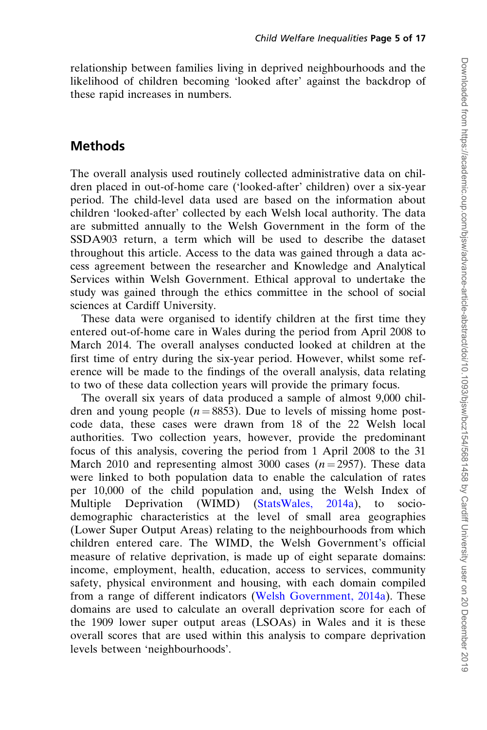relationship between families living in deprived neighbourhoods and the likelihood of children becoming 'looked after' against the backdrop of these rapid increases in numbers.

#### Methods

The overall analysis used routinely collected administrative data on children placed in out-of-home care ('looked-after' children) over a six-year period. The child-level data used are based on the information about children 'looked-after' collected by each Welsh local authority. The data are submitted annually to the Welsh Government in the form of the SSDA903 return, a term which will be used to describe the dataset throughout this article. Access to the data was gained through a data access agreement between the researcher and Knowledge and Analytical Services within Welsh Government. Ethical approval to undertake the study was gained through the ethics committee in the school of social sciences at Cardiff University.

These data were organised to identify children at the first time they entered out-of-home care in Wales during the period from April 2008 to March 2014. The overall analyses conducted looked at children at the first time of entry during the six-year period. However, whilst some reference will be made to the findings of the overall analysis, data relating to two of these data collection years will provide the primary focus.

The overall six years of data produced a sample of almost 9,000 children and young people  $(n = 8853)$ . Due to levels of missing home postcode data, these cases were drawn from 18 of the 22 Welsh local authorities. Two collection years, however, provide the predominant focus of this analysis, covering the period from 1 April 2008 to the 31 March 2010 and representing almost 3000 cases  $(n = 2957)$ . These data were linked to both population data to enable the calculation of rates per 10,000 of the child population and, using the Welsh Index of Multiple Deprivation (WIMD) [\(StatsWales, 2014a\)](#page-16-0), to sociodemographic characteristics at the level of small area geographies (Lower Super Output Areas) relating to the neighbourhoods from which children entered care. The WIMD, the Welsh Government's official measure of relative deprivation, is made up of eight separate domains: income, employment, health, education, access to services, community safety, physical environment and housing, with each domain compiled from a range of different indicators [\(Welsh Government, 2014a](#page-16-0)). These domains are used to calculate an overall deprivation score for each of the 1909 lower super output areas (LSOAs) in Wales and it is these overall scores that are used within this analysis to compare deprivation levels between 'neighbourhoods'.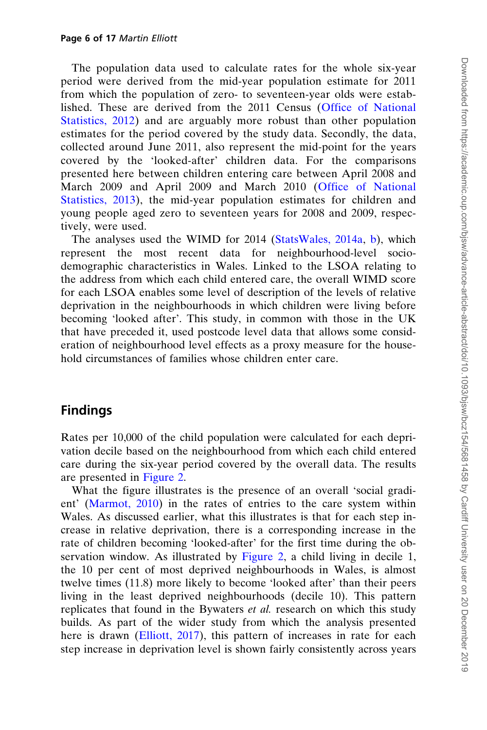The population data used to calculate rates for the whole six-year period were derived from the mid-year population estimate for 2011 from which the population of zero- to seventeen-year olds were established. These are derived from the 2011 Census ([Office of National](#page-15-0) [Statistics, 2012\)](#page-15-0) and are arguably more robust than other population estimates for the period covered by the study data. Secondly, the data, collected around June 2011, also represent the mid-point for the years covered by the 'looked-after' children data. For the comparisons presented here between children entering care between April 2008 and March 2009 and April 2009 and March 2010 ([Office of National](#page-15-0) [Statistics, 2013](#page-15-0)), the mid-year population estimates for children and young people aged zero to seventeen years for 2008 and 2009, respectively, were used.

The analyses used the WIMD for 2014 [\(StatsWales, 2014a,](#page-16-0) [b](#page-16-0)), which represent the most recent data for neighbourhood-level sociodemographic characteristics in Wales. Linked to the LSOA relating to the address from which each child entered care, the overall WIMD score for each LSOA enables some level of description of the levels of relative deprivation in the neighbourhoods in which children were living before becoming 'looked after'. This study, in common with those in the UK that have preceded it, used postcode level data that allows some consideration of neighbourhood level effects as a proxy measure for the household circumstances of families whose children enter care.

#### Findings

Rates per 10,000 of the child population were calculated for each deprivation decile based on the neighbourhood from which each child entered care during the six-year period covered by the overall data. The results are presented in [Figure 2.](#page-6-0)

What the figure illustrates is the presence of an overall 'social gradient' ([Marmot, 2010](#page-15-0)) in the rates of entries to the care system within Wales. As discussed earlier, what this illustrates is that for each step increase in relative deprivation, there is a corresponding increase in the rate of children becoming 'looked-after' for the first time during the ob-servation window. As illustrated by [Figure 2,](#page-6-0) a child living in decile 1, the 10 per cent of most deprived neighbourhoods in Wales, is almost twelve times (11.8) more likely to become 'looked after' than their peers living in the least deprived neighbourhoods (decile 10). This pattern replicates that found in the Bywaters *et al.* research on which this study builds. As part of the wider study from which the analysis presented here is drawn [\(Elliott, 2017](#page-14-0)), this pattern of increases in rate for each step increase in deprivation level is shown fairly consistently across years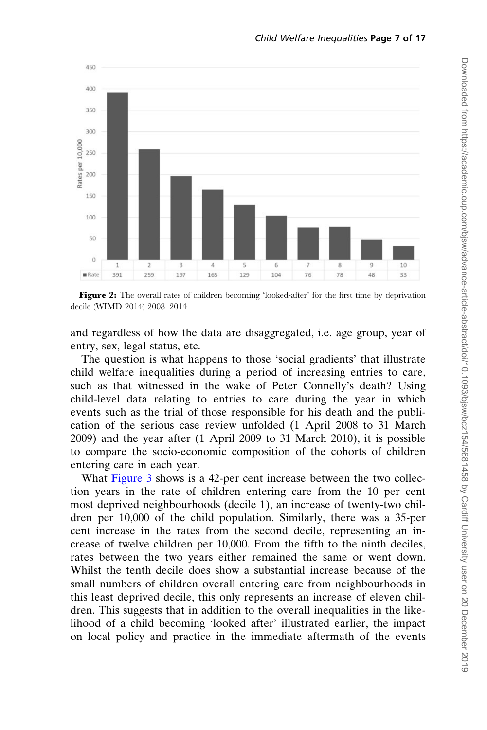

<span id="page-6-0"></span>

Figure 2: The overall rates of children becoming 'looked-after' for the first time by deprivation decile (WIMD 2014) 2008–2014

and regardless of how the data are disaggregated, i.e. age group, year of entry, sex, legal status, etc.

The question is what happens to those 'social gradients' that illustrate child welfare inequalities during a period of increasing entries to care, such as that witnessed in the wake of Peter Connelly's death? Using child-level data relating to entries to care during the year in which events such as the trial of those responsible for his death and the publication of the serious case review unfolded (1 April 2008 to 31 March 2009) and the year after (1 April 2009 to 31 March 2010), it is possible to compare the socio-economic composition of the cohorts of children entering care in each year.

What [Figure 3](#page-7-0) shows is a 42-per cent increase between the two collection years in the rate of children entering care from the 10 per cent most deprived neighbourhoods (decile 1), an increase of twenty-two children per 10,000 of the child population. Similarly, there was a 35-per cent increase in the rates from the second decile, representing an increase of twelve children per 10,000. From the fifth to the ninth deciles, rates between the two years either remained the same or went down. Whilst the tenth decile does show a substantial increase because of the small numbers of children overall entering care from neighbourhoods in this least deprived decile, this only represents an increase of eleven children. This suggests that in addition to the overall inequalities in the likelihood of a child becoming 'looked after' illustrated earlier, the impact on local policy and practice in the immediate aftermath of the events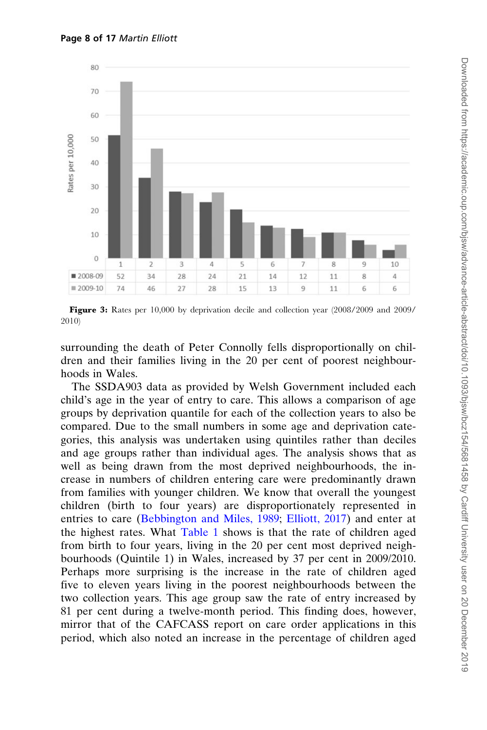<span id="page-7-0"></span>



Figure 3: Rates per 10,000 by deprivation decile and collection year (2008/2009 and 2009/ 2010)

surrounding the death of Peter Connolly fells disproportionally on children and their families living in the 20 per cent of poorest neighbourhoods in Wales.

The SSDA903 data as provided by Welsh Government included each child's age in the year of entry to care. This allows a comparison of age groups by deprivation quantile for each of the collection years to also be compared. Due to the small numbers in some age and deprivation categories, this analysis was undertaken using quintiles rather than deciles and age groups rather than individual ages. The analysis shows that as well as being drawn from the most deprived neighbourhoods, the increase in numbers of children entering care were predominantly drawn from families with younger children. We know that overall the youngest children (birth to four years) are disproportionately represented in entries to care ([Bebbington and Miles, 1989;](#page-13-0) [Elliott, 2017\)](#page-14-0) and enter at the highest rates. What [Table 1](#page-8-0) shows is that the rate of children aged from birth to four years, living in the 20 per cent most deprived neighbourhoods (Quintile 1) in Wales, increased by 37 per cent in 2009/2010. Perhaps more surprising is the increase in the rate of children aged five to eleven years living in the poorest neighbourhoods between the two collection years. This age group saw the rate of entry increased by 81 per cent during a twelve-month period. This finding does, however, mirror that of the CAFCASS report on care order applications in this period, which also noted an increase in the percentage of children aged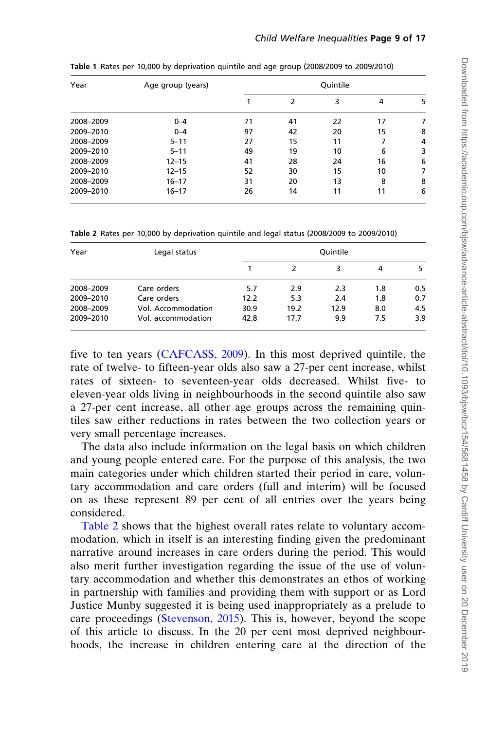| Year      | Age group (years) | Quintile |    |    |    |   |  |
|-----------|-------------------|----------|----|----|----|---|--|
|           |                   |          | 2  | 3  | 4  |   |  |
| 2008-2009 | $0 - 4$           | 71       | 41 | 22 | 17 | 7 |  |
| 2009-2010 | $0 - 4$           | 97       | 42 | 20 | 15 | 8 |  |
| 2008-2009 | $5 - 11$          | 27       | 15 | 11 | 7  | 4 |  |
| 2009-2010 | $5 - 11$          | 49       | 19 | 10 | 6  | 3 |  |
| 2008-2009 | $12 - 15$         | 41       | 28 | 24 | 16 | 6 |  |
| 2009-2010 | $12 - 15$         | 52       | 30 | 15 | 10 | 7 |  |
| 2008-2009 | $16 - 17$         | 31       | 20 | 13 | 8  | 8 |  |
| 2009-2010 | $16 - 17$         | 26       | 14 | 11 | 11 | 6 |  |

<span id="page-8-0"></span>Table 1 Rates per 10,000 by deprivation quintile and age group (2008/2009 to 2009/2010)

Table 2 Rates per 10,000 by deprivation quintile and legal status (2008/2009 to 2009/2010)

| Year      | Legal status       | Ouintile |      |      |     |     |  |
|-----------|--------------------|----------|------|------|-----|-----|--|
|           |                    |          |      | 3    | 4   | 5   |  |
| 2008-2009 | Care orders        | 5.7      | 2.9  | 2.3  | 1.8 | 0.5 |  |
| 2009-2010 | Care orders        | 12.2     | 5.3  | 2.4  | 1.8 | 0.7 |  |
| 2008-2009 | Vol. Accommodation | 30.9     | 19.2 | 12.9 | 8.0 | 4.5 |  |
| 2009-2010 | Vol. accommodation | 42.8     | 17.7 | 9.9  | 7.5 | 3.9 |  |

five to ten years [\(CAFCASS, 2009](#page-14-0)). In this most deprived quintile, the rate of twelve- to fifteen-year olds also saw a 27-per cent increase, whilst rates of sixteen- to seventeen-year olds decreased. Whilst five- to eleven-year olds living in neighbourhoods in the second quintile also saw a 27-per cent increase, all other age groups across the remaining quintiles saw either reductions in rates between the two collection years or very small percentage increases.

The data also include information on the legal basis on which children and young people entered care. For the purpose of this analysis, the two main categories under which children started their period in care, voluntary accommodation and care orders (full and interim) will be focused on as these represent 89 per cent of all entries over the years being considered.

Table 2 shows that the highest overall rates relate to voluntary accommodation, which in itself is an interesting finding given the predominant narrative around increases in care orders during the period. This would also merit further investigation regarding the issue of the use of voluntary accommodation and whether this demonstrates an ethos of working in partnership with families and providing them with support or as Lord Justice Munby suggested it is being used inappropriately as a prelude to care proceedings ([Stevenson, 2015\)](#page-16-0). This is, however, beyond the scope of this article to discuss. In the 20 per cent most deprived neighbourhoods, the increase in children entering care at the direction of the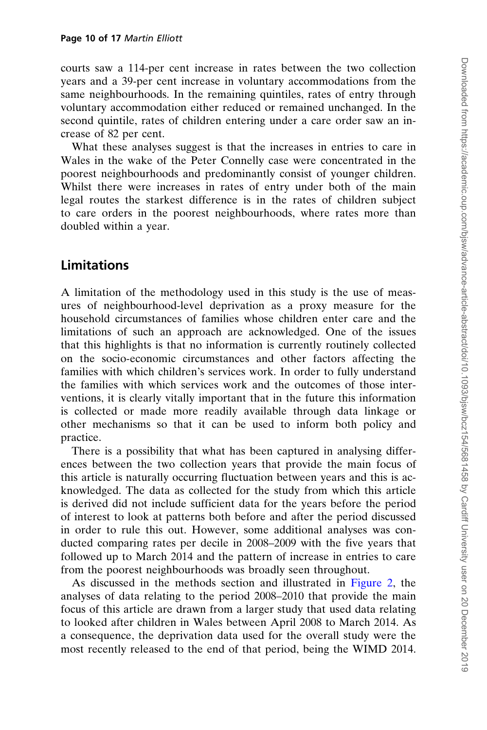courts saw a 114-per cent increase in rates between the two collection years and a 39-per cent increase in voluntary accommodations from the same neighbourhoods. In the remaining quintiles, rates of entry through voluntary accommodation either reduced or remained unchanged. In the second quintile, rates of children entering under a care order saw an increase of 82 per cent.

What these analyses suggest is that the increases in entries to care in Wales in the wake of the Peter Connelly case were concentrated in the poorest neighbourhoods and predominantly consist of younger children. Whilst there were increases in rates of entry under both of the main legal routes the starkest difference is in the rates of children subject to care orders in the poorest neighbourhoods, where rates more than doubled within a year.

## Limitations

A limitation of the methodology used in this study is the use of measures of neighbourhood-level deprivation as a proxy measure for the household circumstances of families whose children enter care and the limitations of such an approach are acknowledged. One of the issues that this highlights is that no information is currently routinely collected on the socio-economic circumstances and other factors affecting the families with which children's services work. In order to fully understand the families with which services work and the outcomes of those interventions, it is clearly vitally important that in the future this information is collected or made more readily available through data linkage or other mechanisms so that it can be used to inform both policy and practice.

There is a possibility that what has been captured in analysing differences between the two collection years that provide the main focus of this article is naturally occurring fluctuation between years and this is acknowledged. The data as collected for the study from which this article is derived did not include sufficient data for the years before the period of interest to look at patterns both before and after the period discussed in order to rule this out. However, some additional analyses was conducted comparing rates per decile in 2008–2009 with the five years that followed up to March 2014 and the pattern of increase in entries to care from the poorest neighbourhoods was broadly seen throughout.

As discussed in the methods section and illustrated in [Figure 2](#page-6-0), the analyses of data relating to the period 2008–2010 that provide the main focus of this article are drawn from a larger study that used data relating to looked after children in Wales between April 2008 to March 2014. As a consequence, the deprivation data used for the overall study were the most recently released to the end of that period, being the WIMD 2014.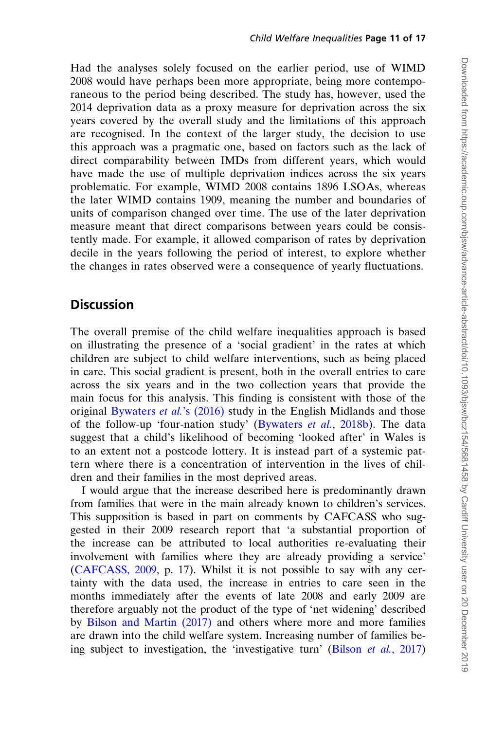Had the analyses solely focused on the earlier period, use of WIMD 2008 would have perhaps been more appropriate, being more contemporaneous to the period being described. The study has, however, used the 2014 deprivation data as a proxy measure for deprivation across the six years covered by the overall study and the limitations of this approach are recognised. In the context of the larger study, the decision to use this approach was a pragmatic one, based on factors such as the lack of direct comparability between IMDs from different years, which would have made the use of multiple deprivation indices across the six years problematic. For example, WIMD 2008 contains 1896 LSOAs, whereas the later WIMD contains 1909, meaning the number and boundaries of units of comparison changed over time. The use of the later deprivation measure meant that direct comparisons between years could be consistently made. For example, it allowed comparison of rates by deprivation decile in the years following the period of interest, to explore whether the changes in rates observed were a consequence of yearly fluctuations.

## **Discussion**

The overall premise of the child welfare inequalities approach is based on illustrating the presence of a 'social gradient' in the rates at which children are subject to child welfare interventions, such as being placed in care. This social gradient is present, both in the overall entries to care across the six years and in the two collection years that provide the main focus for this analysis. This finding is consistent with those of the original [Bywaters](#page-14-0) et al.'s (2016) study in the English Midlands and those of the follow-up 'four-nation study' [\(Bywaters](#page-14-0) et al., 2018b). The data suggest that a child's likelihood of becoming 'looked after' in Wales is to an extent not a postcode lottery. It is instead part of a systemic pattern where there is a concentration of intervention in the lives of children and their families in the most deprived areas.

I would argue that the increase described here is predominantly drawn from families that were in the main already known to children's services. This supposition is based in part on comments by CAFCASS who suggested in their 2009 research report that 'a substantial proportion of the increase can be attributed to local authorities re-evaluating their involvement with families where they are already providing a service' ([CAFCASS, 2009](#page-14-0), p. 17). Whilst it is not possible to say with any certainty with the data used, the increase in entries to care seen in the months immediately after the events of late 2008 and early 2009 are therefore arguably not the product of the type of 'net widening' described by [Bilson and Martin \(2017\)](#page-13-0) and others where more and more families are drawn into the child welfare system. Increasing number of families being subject to investigation, the 'investigative turn' (Bilson *et al.*[, 2017](#page-13-0))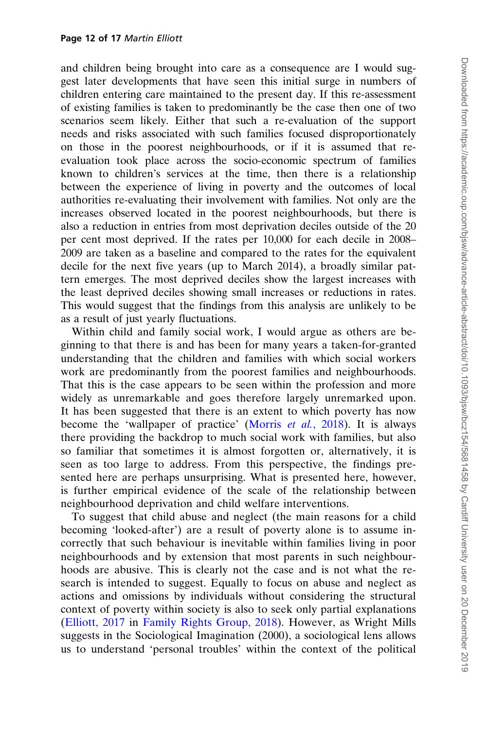and children being brought into care as a consequence are I would suggest later developments that have seen this initial surge in numbers of children entering care maintained to the present day. If this re-assessment of existing families is taken to predominantly be the case then one of two scenarios seem likely. Either that such a re-evaluation of the support needs and risks associated with such families focused disproportionately on those in the poorest neighbourhoods, or if it is assumed that reevaluation took place across the socio-economic spectrum of families known to children's services at the time, then there is a relationship between the experience of living in poverty and the outcomes of local authorities re-evaluating their involvement with families. Not only are the increases observed located in the poorest neighbourhoods, but there is also a reduction in entries from most deprivation deciles outside of the 20 per cent most deprived. If the rates per 10,000 for each decile in 2008– 2009 are taken as a baseline and compared to the rates for the equivalent decile for the next five years (up to March 2014), a broadly similar pattern emerges. The most deprived deciles show the largest increases with the least deprived deciles showing small increases or reductions in rates. This would suggest that the findings from this analysis are unlikely to be as a result of just yearly fluctuations.

Within child and family social work, I would argue as others are beginning to that there is and has been for many years a taken-for-granted understanding that the children and families with which social workers work are predominantly from the poorest families and neighbourhoods. That this is the case appears to be seen within the profession and more widely as unremarkable and goes therefore largely unremarked upon. It has been suggested that there is an extent to which poverty has now become the 'wallpaper of practice' [\(Morris](#page-15-0) et al., 2018). It is always there providing the backdrop to much social work with families, but also so familiar that sometimes it is almost forgotten or, alternatively, it is seen as too large to address. From this perspective, the findings presented here are perhaps unsurprising. What is presented here, however, is further empirical evidence of the scale of the relationship between neighbourhood deprivation and child welfare interventions.

To suggest that child abuse and neglect (the main reasons for a child becoming 'looked-after') are a result of poverty alone is to assume incorrectly that such behaviour is inevitable within families living in poor neighbourhoods and by extension that most parents in such neighbourhoods are abusive. This is clearly not the case and is not what the research is intended to suggest. Equally to focus on abuse and neglect as actions and omissions by individuals without considering the structural context of poverty within society is also to seek only partial explanations [\(Elliott, 2017](#page-14-0) in [Family Rights Group, 2018\)](#page-14-0). However, as Wright Mills suggests in the Sociological Imagination (2000), a sociological lens allows us to understand 'personal troubles' within the context of the political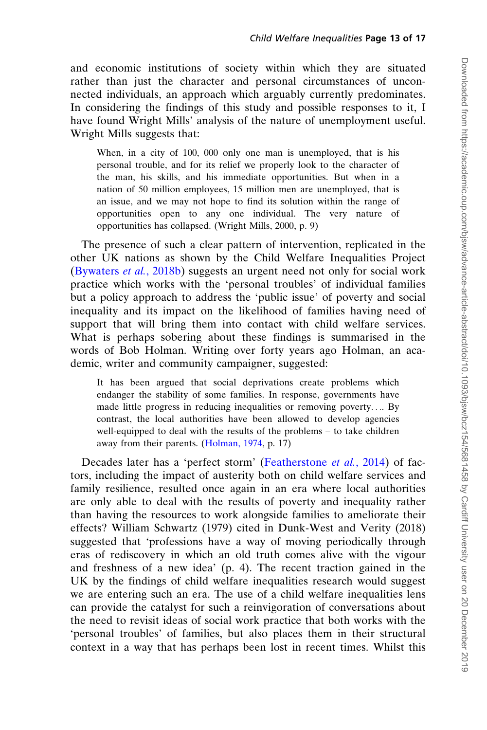and economic institutions of society within which they are situated rather than just the character and personal circumstances of unconnected individuals, an approach which arguably currently predominates. In considering the findings of this study and possible responses to it, I have found Wright Mills' analysis of the nature of unemployment useful. Wright Mills suggests that:

When, in a city of 100, 000 only one man is unemployed, that is his personal trouble, and for its relief we properly look to the character of the man, his skills, and his immediate opportunities. But when in a nation of 50 million employees, 15 million men are unemployed, that is an issue, and we may not hope to find its solution within the range of opportunities open to any one individual. The very nature of opportunities has collapsed. (Wright Mills, 2000, p. 9)

The presence of such a clear pattern of intervention, replicated in the other UK nations as shown by the Child Welfare Inequalities Project ([Bywaters](#page-14-0) et al., 2018b) suggests an urgent need not only for social work practice which works with the 'personal troubles' of individual families but a policy approach to address the 'public issue' of poverty and social inequality and its impact on the likelihood of families having need of support that will bring them into contact with child welfare services. What is perhaps sobering about these findings is summarised in the words of Bob Holman. Writing over forty years ago Holman, an academic, writer and community campaigner, suggested:

It has been argued that social deprivations create problems which endanger the stability of some families. In response, governments have made little progress in reducing inequalities or removing poverty.... By contrast, the local authorities have been allowed to develop agencies well-equipped to deal with the results of the problems – to take children away from their parents. [\(Holman, 1974](#page-15-0), p. 17)

Decades later has a 'perfect storm' [\(Featherstone](#page-15-0) et al., 2014) of factors, including the impact of austerity both on child welfare services and family resilience, resulted once again in an era where local authorities are only able to deal with the results of poverty and inequality rather than having the resources to work alongside families to ameliorate their effects? William Schwartz (1979) cited in Dunk-West and Verity (2018) suggested that 'professions have a way of moving periodically through eras of rediscovery in which an old truth comes alive with the vigour and freshness of a new idea' (p. 4). The recent traction gained in the UK by the findings of child welfare inequalities research would suggest we are entering such an era. The use of a child welfare inequalities lens can provide the catalyst for such a reinvigoration of conversations about the need to revisit ideas of social work practice that both works with the 'personal troubles' of families, but also places them in their structural context in a way that has perhaps been lost in recent times. Whilst this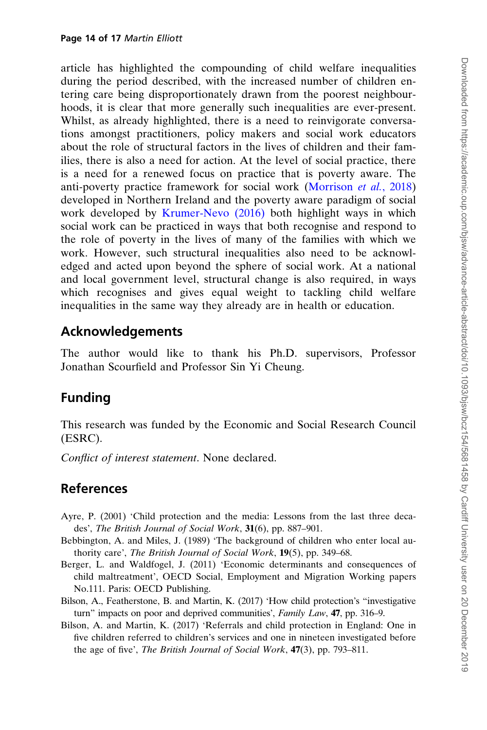<span id="page-13-0"></span>article has highlighted the compounding of child welfare inequalities during the period described, with the increased number of children entering care being disproportionately drawn from the poorest neighbourhoods, it is clear that more generally such inequalities are ever-present. Whilst, as already highlighted, there is a need to reinvigorate conversations amongst practitioners, policy makers and social work educators about the role of structural factors in the lives of children and their families, there is also a need for action. At the level of social practice, there is a need for a renewed focus on practice that is poverty aware. The anti-poverty practice framework for social work [\(Morrison](#page-15-0) et al., 2018) developed in Northern Ireland and the poverty aware paradigm of social work developed by [Krumer-Nevo \(2016\)](#page-15-0) both highlight ways in which social work can be practiced in ways that both recognise and respond to the role of poverty in the lives of many of the families with which we work. However, such structural inequalities also need to be acknowledged and acted upon beyond the sphere of social work. At a national and local government level, structural change is also required, in ways which recognises and gives equal weight to tackling child welfare inequalities in the same way they already are in health or education.

## Acknowledgements

The author would like to thank his Ph.D. supervisors, Professor Jonathan Scourfield and Professor Sin Yi Cheung.

## Funding

This research was funded by the Economic and Social Research Council (ESRC).

Conflict of interest statement. None declared.

## References

- Ayre, P. (2001) 'Child protection and the media: Lessons from the last three decades', The British Journal of Social Work, 31(6), pp. 887–901.
- Bebbington, A. and Miles, J. (1989) 'The background of children who enter local authority care', The British Journal of Social Work, 19(5), pp. 349–68.
- Berger, L. and Waldfogel, J. (2011) 'Economic determinants and consequences of child maltreatment', OECD Social, Employment and Migration Working papers No.111. Paris: OECD Publishing.
- Bilson, A., Featherstone, B. and Martin, K. (2017) 'How child protection's "investigative turn" impacts on poor and deprived communities', Family Law, 47, pp. 316–9.
- Bilson, A. and Martin, K. (2017) 'Referrals and child protection in England: One in five children referred to children's services and one in nineteen investigated before the age of five', The British Journal of Social Work, 47(3), pp. 793–811.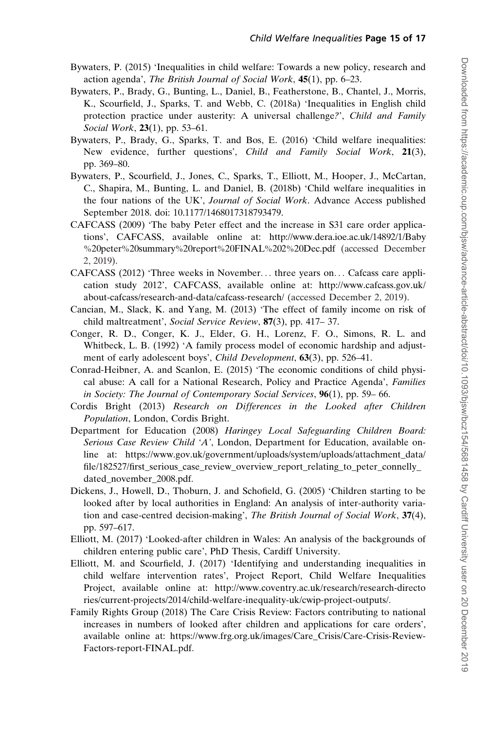- <span id="page-14-0"></span>Bywaters, P. (2015) 'Inequalities in child welfare: Towards a new policy, research and action agenda', The British Journal of Social Work, 45(1), pp. 6–23.
- Bywaters, P., Brady, G., Bunting, L., Daniel, B., Featherstone, B., Chantel, J., Morris, K., Scourfield, J., Sparks, T. and Webb, C. (2018a) 'Inequalities in English child protection practice under austerity: A universal challenge?', Child and Family Social Work, **23**(1), pp. 53–61.
- Bywaters, P., Brady, G., Sparks, T. and Bos, E. (2016) 'Child welfare inequalities: New evidence, further questions', *Child and Family Social Work*, 21(3), pp. 369–80.
- Bywaters, P., Scourfield, J., Jones, C., Sparks, T., Elliott, M., Hooper, J., McCartan, C., Shapira, M., Bunting, L. and Daniel, B. (2018b) 'Child welfare inequalities in the four nations of the UK', Journal of Social Work. Advance Access published September 2018. doi: 10.1177/1468017318793479.
- CAFCASS (2009) 'The baby Peter effect and the increase in S31 care order applications', CAFCASS, available online at: [http://www.dera.ioe.ac.uk/14892/1/Baby](http://www.dera.ioe.ac.uk/14892/1/Baby&hx0025;20peter&hx0025;20summary&hx0025;20report&hx0025;20FINAL&hx0025;202&hx0025;20Dec.pdf) %[20peter](http://www.dera.ioe.ac.uk/14892/1/Baby&hx0025;20peter&hx0025;20summary&hx0025;20report&hx0025;20FINAL&hx0025;202&hx0025;20Dec.pdf)%[20summary](http://www.dera.ioe.ac.uk/14892/1/Baby&hx0025;20peter&hx0025;20summary&hx0025;20report&hx0025;20FINAL&hx0025;202&hx0025;20Dec.pdf)%[20report](http://www.dera.ioe.ac.uk/14892/1/Baby&hx0025;20peter&hx0025;20summary&hx0025;20report&hx0025;20FINAL&hx0025;202&hx0025;20Dec.pdf)%[20FINAL](http://www.dera.ioe.ac.uk/14892/1/Baby&hx0025;20peter&hx0025;20summary&hx0025;20report&hx0025;20FINAL&hx0025;202&hx0025;20Dec.pdf)%[202](http://www.dera.ioe.ac.uk/14892/1/Baby&hx0025;20peter&hx0025;20summary&hx0025;20report&hx0025;20FINAL&hx0025;202&hx0025;20Dec.pdf)%[20Dec.pdf](http://www.dera.ioe.ac.uk/14892/1/Baby&hx0025;20peter&hx0025;20summary&hx0025;20report&hx0025;20FINAL&hx0025;202&hx0025;20Dec.pdf) (accessed December 2, 2019).
- CAFCASS (2012) 'Three weeks in November... three years on... Cafcass care application study 2012', CAFCASS, available online at: [http://www.cafcass.gov.uk/](http://www.cafcass.gov.uk/about-cafcass/research-and-data/cafcass-research/) [about-cafcass/research-and-data/cafcass-research/](http://www.cafcass.gov.uk/about-cafcass/research-and-data/cafcass-research/) (accessed December 2, 2019).
- Cancian, M., Slack, K. and Yang, M. (2013) 'The effect of family income on risk of child maltreatment', Social Service Review, 87(3), pp. 417– 37.
- Conger, R. D., Conger, K. J., Elder, G. H., Lorenz, F. O., Simons, R. L. and Whitbeck, L. B. (1992) 'A family process model of economic hardship and adjustment of early adolescent boys', Child Development, 63(3), pp. 526–41.
- Conrad-Heibner, A. and Scanlon, E. (2015) 'The economic conditions of child physical abuse: A call for a National Research, Policy and Practice Agenda', Families in Society: The Journal of Contemporary Social Services, 96(1), pp. 59– 66.
- Cordis Bright (2013) Research on Differences in the Looked after Children Population, London, Cordis Bright.
- Department for Education (2008) Haringey Local Safeguarding Children Board: Serious Case Review Child 'A', London, Department for Education, available online at: [https://www.gov.uk/government/uploads/system/uploads/attachment\\_data/](https://www.gov.uk/government/uploads/system/uploads/attachment_data/file/182527/first_serious_case_review_overview_report_relating_to_peter_connelly_dated_november_2008.pdf) [file/182527/first\\_serious\\_case\\_review\\_overview\\_report\\_relating\\_to\\_peter\\_connelly\\_](https://www.gov.uk/government/uploads/system/uploads/attachment_data/file/182527/first_serious_case_review_overview_report_relating_to_peter_connelly_dated_november_2008.pdf) [dated\\_november\\_2008.pdf.](https://www.gov.uk/government/uploads/system/uploads/attachment_data/file/182527/first_serious_case_review_overview_report_relating_to_peter_connelly_dated_november_2008.pdf)
- Dickens, J., Howell, D., Thoburn, J. and Schofield, G. (2005) 'Children starting to be looked after by local authorities in England: An analysis of inter-authority variation and case-centred decision-making', The British Journal of Social Work, 37(4), pp. 597–617.
- Elliott, M. (2017) 'Looked-after children in Wales: An analysis of the backgrounds of children entering public care', PhD Thesis, Cardiff University.
- Elliott, M. and Scourfield, J. (2017) 'Identifying and understanding inequalities in child welfare intervention rates', Project Report, Child Welfare Inequalities Project, available online at: [http://www.coventry.ac.uk/research/research-directo](http://www.coventry.ac.uk/research/research-directories/current-projects/2014/child-welfare-inequality-uk/cwip-project-outputs/) [ries/current-projects/2014/child-welfare-inequality-uk/cwip-project-outputs/](http://www.coventry.ac.uk/research/research-directories/current-projects/2014/child-welfare-inequality-uk/cwip-project-outputs/).
- Family Rights Group (2018) The Care Crisis Review: Factors contributing to national increases in numbers of looked after children and applications for care orders', available online at: [https://www.frg.org.uk/images/Care\\_Crisis/Care-Crisis-Review-](https://www.frg.org.uk/images/Care_Crisis/Care-Crisis-Review-Factors-report-FINAL.pdf)[Factors-report-FINAL.pdf](https://www.frg.org.uk/images/Care_Crisis/Care-Crisis-Review-Factors-report-FINAL.pdf).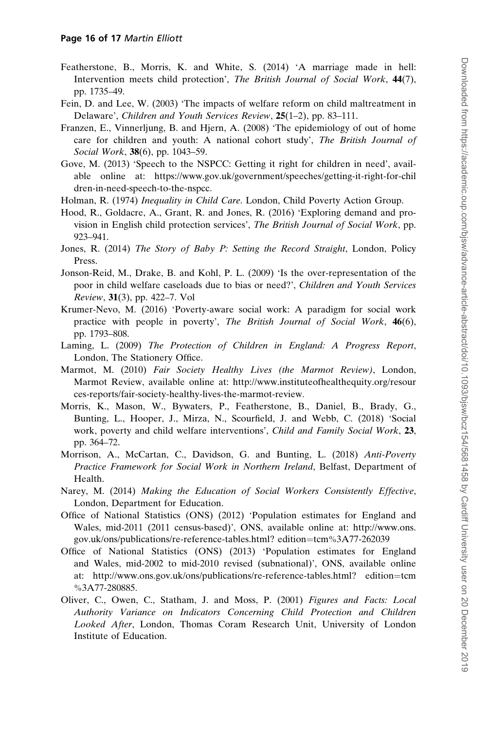- <span id="page-15-0"></span>Featherstone, B., Morris, K. and White, S. (2014) 'A marriage made in hell: Intervention meets child protection', The British Journal of Social Work, 44(7), pp. 1735–49.
- Fein, D. and Lee, W. (2003) 'The impacts of welfare reform on child maltreatment in Delaware', Children and Youth Services Review, 25(1–2), pp. 83–111.
- Franzen, E., Vinnerljung, B. and Hjern, A. (2008) 'The epidemiology of out of home care for children and youth: A national cohort study', The British Journal of Social Work, **38**(6), pp. 1043–59.
- Gove, M. (2013) 'Speech to the NSPCC: Getting it right for children in need', available online at: [https://www.gov.uk/government/speeches/getting-it-right-for-chil](https://www.gov.uk/government/speeches/getting-it-right-for-children-in-need-speech-to-the-nspcc) [dren-in-need-speech-to-the-nspcc.](https://www.gov.uk/government/speeches/getting-it-right-for-children-in-need-speech-to-the-nspcc)
- Holman, R. (1974) Inequality in Child Care. London, Child Poverty Action Group.
- Hood, R., Goldacre, A., Grant, R. and Jones, R. (2016) 'Exploring demand and provision in English child protection services', The British Journal of Social Work, pp. 923–941.
- Jones, R. (2014) The Story of Baby P: Setting the Record Straight, London, Policy Press.
- Jonson-Reid, M., Drake, B. and Kohl, P. L. (2009) 'Is the over-representation of the poor in child welfare caseloads due to bias or need?', Children and Youth Services Review, 31(3), pp. 422–7. Vol
- Krumer-Nevo, M. (2016) 'Poverty-aware social work: A paradigm for social work practice with people in poverty', The British Journal of Social Work, 46(6), pp. 1793–808.
- Laming, L. (2009) The Protection of Children in England: A Progress Report, London, The Stationery Office.
- Marmot, M. (2010) Fair Society Healthy Lives (the Marmot Review), London, Marmot Review, available online at: [http://www.instituteofhealthequity.org/resour](http://www.instituteofhealthequity.org/resources-reports/fair-society-healthy-lives-the-marmot-review) [ces-reports/fair-society-healthy-lives-the-marmot-review.](http://www.instituteofhealthequity.org/resources-reports/fair-society-healthy-lives-the-marmot-review)
- Morris, K., Mason, W., Bywaters, P., Featherstone, B., Daniel, B., Brady, G., Bunting, L., Hooper, J., Mirza, N., Scourfield, J. and Webb, C. (2018) 'Social work, poverty and child welfare interventions', Child and Family Social Work, 23, pp. 364–72.
- Morrison, A., McCartan, C., Davidson, G. and Bunting, L. (2018) Anti-Poverty Practice Framework for Social Work in Northern Ireland, Belfast, Department of Health.
- Narey, M. (2014) Making the Education of Social Workers Consistently Effective, London, Department for Education.
- Office of National Statistics (ONS) (2012) 'Population estimates for England and Wales, mid-2011 (2011 census-based)', ONS, available online at: [http://www.ons.](http://www.ons.gov.uk/ons/publications/re-reference-tables.html? edition=tcm&hx0025;3A77-262039) [gov.uk/ons/publications/re-reference-tables.html? edition](http://www.ons.gov.uk/ons/publications/re-reference-tables.html? edition=tcm&hx0025;3A77-262039)=[tcm](http://www.ons.gov.uk/ons/publications/re-reference-tables.html? edition=tcm&hx0025;3A77-262039)%[3A77-262039](http://www.ons.gov.uk/ons/publications/re-reference-tables.html? edition=tcm&hx0025;3A77-262039)
- Office of National Statistics (ONS) (2013) 'Population estimates for England and Wales, mid-2002 to mid-2010 revised (subnational)', ONS, available online at: [http://www.ons.gov.uk/ons/publications/re-reference-tables.html? edition](http://www.ons.gov.uk/ons/publications/re-reference-tables.html? edition=tcm&hx0025;3A77-280885)=[tcm](http://www.ons.gov.uk/ons/publications/re-reference-tables.html? edition=tcm&hx0025;3A77-280885) %[3A77-280885.](http://www.ons.gov.uk/ons/publications/re-reference-tables.html? edition=tcm&hx0025;3A77-280885)
- Oliver, C., Owen, C., Statham, J. and Moss, P. (2001) Figures and Facts: Local Authority Variance on Indicators Concerning Child Protection and Children Looked After, London, Thomas Coram Research Unit, University of London Institute of Education.